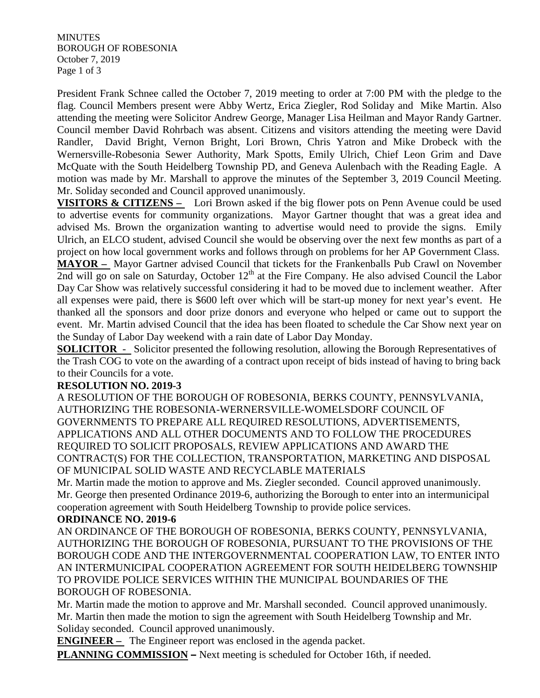**MINUTES** BOROUGH OF ROBESONIA October 7, 2019 Page 1 of 3

President Frank Schnee called the October 7, 2019 meeting to order at 7:00 PM with the pledge to the flag. Council Members present were Abby Wertz, Erica Ziegler, Rod Soliday and Mike Martin. Also attending the meeting were Solicitor Andrew George, Manager Lisa Heilman and Mayor Randy Gartner. Council member David Rohrbach was absent. Citizens and visitors attending the meeting were David Randler, David Bright, Vernon Bright, Lori Brown, Chris Yatron and Mike Drobeck with the Wernersville-Robesonia Sewer Authority, Mark Spotts, Emily Ulrich, Chief Leon Grim and Dave McQuate with the South Heidelberg Township PD, and Geneva Aulenbach with the Reading Eagle. A motion was made by Mr. Marshall to approve the minutes of the September 3, 2019 Council Meeting. Mr. Soliday seconded and Council approved unanimously.

**VISITORS & CITIZENS –** Lori Brown asked if the big flower pots on Penn Avenue could be used to advertise events for community organizations. Mayor Gartner thought that was a great idea and advised Ms. Brown the organization wanting to advertise would need to provide the signs. Emily Ulrich, an ELCO student, advised Council she would be observing over the next few months as part of a project on how local government works and follows through on problems for her AP Government Class. **MAYOR –** Mayor Gartner advised Council that tickets for the Frankenballs Pub Crawl on November 2nd will go on sale on Saturday, October 12<sup>th</sup> at the Fire Company. He also advised Council the Labor

Day Car Show was relatively successful considering it had to be moved due to inclement weather. After all expenses were paid, there is \$600 left over which will be start-up money for next year's event. He thanked all the sponsors and door prize donors and everyone who helped or came out to support the event. Mr. Martin advised Council that the idea has been floated to schedule the Car Show next year on the Sunday of Labor Day weekend with a rain date of Labor Day Monday.

**SOLICITOR** - Solicitor presented the following resolution, allowing the Borough Representatives of the Trash COG to vote on the awarding of a contract upon receipt of bids instead of having to bring back to their Councils for a vote.

### **RESOLUTION NO. 2019-3**

A RESOLUTION OF THE BOROUGH OF ROBESONIA, BERKS COUNTY, PENNSYLVANIA, AUTHORIZING THE ROBESONIA-WERNERSVILLE-WOMELSDORF COUNCIL OF GOVERNMENTS TO PREPARE ALL REQUIRED RESOLUTIONS, ADVERTISEMENTS, APPLICATIONS AND ALL OTHER DOCUMENTS AND TO FOLLOW THE PROCEDURES REQUIRED TO SOLICIT PROPOSALS, REVIEW APPLICATIONS AND AWARD THE CONTRACT(S) FOR THE COLLECTION, TRANSPORTATION, MARKETING AND DISPOSAL OF MUNICIPAL SOLID WASTE AND RECYCLABLE MATERIALS

Mr. Martin made the motion to approve and Ms. Ziegler seconded. Council approved unanimously. Mr. George then presented Ordinance 2019-6, authorizing the Borough to enter into an intermunicipal cooperation agreement with South Heidelberg Township to provide police services.

#### **ORDINANCE NO. 2019-6**

AN ORDINANCE OF THE BOROUGH OF ROBESONIA, BERKS COUNTY, PENNSYLVANIA, AUTHORIZING THE BOROUGH OF ROBESONIA, PURSUANT TO THE PROVISIONS OF THE BOROUGH CODE AND THE INTERGOVERNMENTAL COOPERATION LAW, TO ENTER INTO AN INTERMUNICIPAL COOPERATION AGREEMENT FOR SOUTH HEIDELBERG TOWNSHIP TO PROVIDE POLICE SERVICES WITHIN THE MUNICIPAL BOUNDARIES OF THE BOROUGH OF ROBESONIA.

Mr. Martin made the motion to approve and Mr. Marshall seconded. Council approved unanimously. Mr. Martin then made the motion to sign the agreement with South Heidelberg Township and Mr. Soliday seconded. Council approved unanimously.

**ENGINEER –** The Engineer report was enclosed in the agenda packet.

**PLANNING COMMISSION –** Next meeting is scheduled for October 16th, if needed.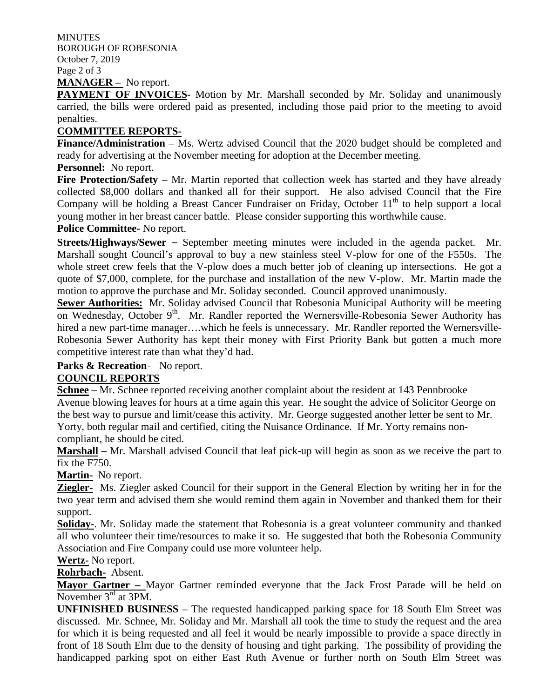**MINUTES** BOROUGH OF ROBESONIA October 7, 2019 Page 2 of 3 **MANAGER –** No report.

**PAYMENT OF INVOICES-** Motion by Mr. Marshall seconded by Mr. Soliday and unanimously carried, the bills were ordered paid as presented, including those paid prior to the meeting to avoid penalties.

#### **COMMITTEE REPORTS-**

**Finance/Administration** – Ms. Wertz advised Council that the 2020 budget should be completed and ready for advertising at the November meeting for adoption at the December meeting.

#### **Personnel:** No report.

Fire Protection/Safety – Mr. Martin reported that collection week has started and they have already collected \$8,000 dollars and thanked all for their support. He also advised Council that the Fire Company will be holding a Breast Cancer Fundraiser on Friday, October 11<sup>th</sup> to help support a local young mother in her breast cancer battle. Please consider supporting this worthwhile cause.

#### **Police Committee-** No report.

**Streets/Highways/Sewer** – September meeting minutes were included in the agenda packet. Mr. Marshall sought Council's approval to buy a new stainless steel V-plow for one of the F550s. The whole street crew feels that the V-plow does a much better job of cleaning up intersections. He got a quote of \$7,000, complete, for the purchase and installation of the new V-plow. Mr. Martin made the motion to approve the purchase and Mr. Soliday seconded. Council approved unanimously.

**Sewer Authorities:** Mr. Soliday advised Council that Robesonia Municipal Authority will be meeting on Wednesday, October 9<sup>th</sup>. Mr. Randler reported the Wernersville-Robesonia Sewer Authority has hired a new part-time manager....which he feels is unnecessary. Mr. Randler reported the Wernersville-Robesonia Sewer Authority has kept their money with First Priority Bank but gotten a much more competitive interest rate than what they'd had.

# **Parks & Recreation**- No report.

## **COUNCIL REPORTS**

**Schnee** – Mr. Schnee reported receiving another complaint about the resident at 143 Pennbrooke Avenue blowing leaves for hours at a time again this year. He sought the advice of Solicitor George on the best way to pursue and limit/cease this activity. Mr. George suggested another letter be sent to Mr. Yorty, both regular mail and certified, citing the Nuisance Ordinance. If Mr. Yorty remains noncompliant, he should be cited.

**Marshall –** Mr. Marshall advised Council that leaf pick-up will begin as soon as we receive the part to fix the F750.

**Martin-** No report.

**Ziegler-** Ms. Ziegler asked Council for their support in the General Election by writing her in for the two year term and advised them she would remind them again in November and thanked them for their support.

**Soliday-**. Mr. Soliday made the statement that Robesonia is a great volunteer community and thanked all who volunteer their time/resources to make it so. He suggested that both the Robesonia Community Association and Fire Company could use more volunteer help.

**Wertz-** No report.

**Rohrbach-** Absent.

**Mayor Gartner –** Mayor Gartner reminded everyone that the Jack Frost Parade will be held on November 3<sup>rd</sup> at 3PM.

**UNFINISHED BUSINESS** – The requested handicapped parking space for 18 South Elm Street was discussed. Mr. Schnee, Mr. Soliday and Mr. Marshall all took the time to study the request and the area for which it is being requested and all feel it would be nearly impossible to provide a space directly in front of 18 South Elm due to the density of housing and tight parking. The possibility of providing the handicapped parking spot on either East Ruth Avenue or further north on South Elm Street was